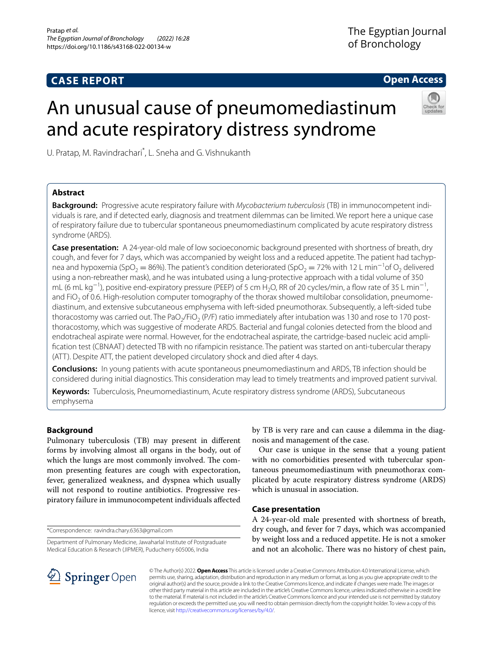# **CASE REPORT**

**Open Access**

# An unusual cause of pneumomediastinum and acute respiratory distress syndrome



U. Pratap, M. Ravindrachari<sup>\*</sup>, L. Sneha and G. Vishnukanth

# **Abstract**

**Background:** Progressive acute respiratory failure with *Mycobacterium tuberculosis* (TB) in immunocompetent individuals is rare, and if detected early, diagnosis and treatment dilemmas can be limited. We report here a unique case of respiratory failure due to tubercular spontaneous pneumomediastinum complicated by acute respiratory distress syndrome (ARDS).

**Case presentation:** A 24-year-old male of low socioeconomic background presented with shortness of breath, dry cough, and fever for 7 days, which was accompanied by weight loss and a reduced appetite. The patient had tachypnea and hypoxemia (SpO<sub>2</sub> = 86%). The patient's condition deteriorated (SpO<sub>2</sub> = 72% with 12 L min<sup>-1</sup>of O<sub>2</sub> delivered using a non-rebreather mask), and he was intubated using a lung-protective approach with a tidal volume of 350 mL (6 mL kg<sup>-1</sup>), positive end-expiratory pressure (PEEP) of 5 cm H<sub>2</sub>O, RR of 20 cycles/min, a flow rate of 35 L min<sup>-1</sup>, and FiO<sub>2</sub> of 0.6. High-resolution computer tomography of the thorax showed multilobar consolidation, pneumomediastinum, and extensive subcutaneous emphysema with left-sided pneumothorax. Subsequently, a left-sided tube thoracostomy was carried out. The PaO<sub>2</sub>/FiO<sub>2</sub> (P/F) ratio immediately after intubation was 130 and rose to 170 postthoracostomy, which was suggestive of moderate ARDS. Bacterial and fungal colonies detected from the blood and endotracheal aspirate were normal. However, for the endotracheal aspirate, the cartridge-based nucleic acid amplifcation test (CBNAAT) detected TB with no rifampicin resistance. The patient was started on anti-tubercular therapy (ATT). Despite ATT, the patient developed circulatory shock and died after 4 days.

**Conclusions:** In young patients with acute spontaneous pneumomediastinum and ARDS, TB infection should be considered during initial diagnostics. This consideration may lead to timely treatments and improved patient survival.

**Keywords:** Tuberculosis, Pneumomediastinum, Acute respiratory distress syndrome (ARDS), Subcutaneous emphysema

# **Background**

Pulmonary tuberculosis (TB) may present in diferent forms by involving almost all organs in the body, out of which the lungs are most commonly involved. The common presenting features are cough with expectoration, fever, generalized weakness, and dyspnea which usually will not respond to routine antibiotics. Progressive respiratory failure in immunocompetent individuals afected

\*Correspondence: ravindra.chary.6363@gmail.com

Department of Pulmonary Medicine, Jawaharlal Institute of Postgraduate Medical Education & Research (JIPMER), Puducherry 605006, India

by TB is very rare and can cause a dilemma in the diagnosis and management of the case.

Our case is unique in the sense that a young patient with no comorbidities presented with tubercular spontaneous pneumomediastinum with pneumothorax complicated by acute respiratory distress syndrome (ARDS) which is unusual in association.

# **Case presentation**

A 24-year-old male presented with shortness of breath, dry cough, and fever for 7 days, which was accompanied by weight loss and a reduced appetite. He is not a smoker and not an alcoholic. There was no history of chest pain,



© The Author(s) 2022. **Open Access** This article is licensed under a Creative Commons Attribution 4.0 International License, which permits use, sharing, adaptation, distribution and reproduction in any medium or format, as long as you give appropriate credit to the original author(s) and the source, provide a link to the Creative Commons licence, and indicate if changes were made. The images or other third party material in this article are included in the article's Creative Commons licence, unless indicated otherwise in a credit line to the material. If material is not included in the article's Creative Commons licence and your intended use is not permitted by statutory regulation or exceeds the permitted use, you will need to obtain permission directly from the copyright holder. To view a copy of this licence, visit [http://creativecommons.org/licenses/by/4.0/.](http://creativecommons.org/licenses/by/4.0/)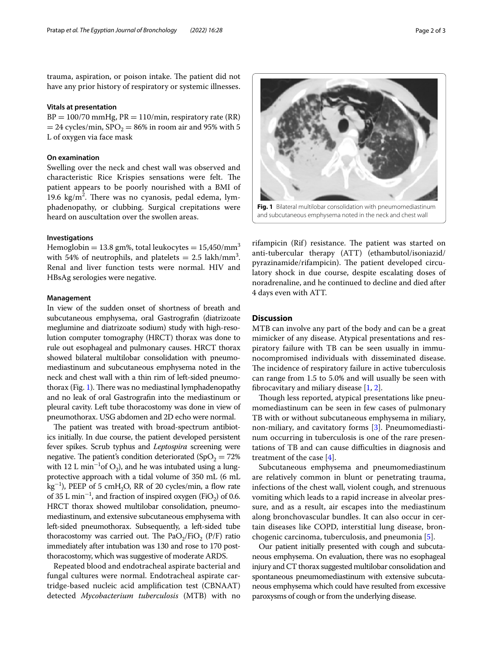trauma, aspiration, or poison intake. The patient did not have any prior history of respiratory or systemic illnesses.

## **Vitals at presentation**

 $BP = 100/70$  mmHg,  $PR = 110/min$ , respiratory rate (RR)  $= 24$  cycles/min,  $\text{SPO}_2 = 86\%$  in room air and 95% with 5 L of oxygen via face mask

## **On examination**

Swelling over the neck and chest wall was observed and characteristic Rice Krispies sensations were felt. The patient appears to be poorly nourished with a BMI of 19.6 kg/m<sup>2</sup>. There was no cyanosis, pedal edema, lymphadenopathy, or clubbing. Surgical crepitations were heard on auscultation over the swollen areas.

# **Investigations**

Hemoglobin = 13.8 gm%, total leukocytes =  $15,450/\text{mm}^3$ with 54% of neutrophils, and platelets  $= 2.5$  lakh/mm<sup>3</sup>. Renal and liver function tests were normal. HIV and HBsAg serologies were negative.

## **Management**

In view of the sudden onset of shortness of breath and subcutaneous emphysema, oral Gastrografn (diatrizoate meglumine and diatrizoate sodium) study with high-resolution computer tomography (HRCT) thorax was done to rule out esophageal and pulmonary causes. HRCT thorax showed bilateral multilobar consolidation with pneumomediastinum and subcutaneous emphysema noted in the neck and chest wall with a thin rim of left-sided pneumo-thorax (Fig. [1](#page-1-0)). There was no mediastinal lymphadenopathy and no leak of oral Gastrografn into the mediastinum or pleural cavity. Left tube thoracostomy was done in view of pneumothorax. USG abdomen and 2D echo were normal.

The patient was treated with broad-spectrum antibiotics initially. In due course, the patient developed persistent fever spikes. Scrub typhus and *Leptospira* screening were negative. The patient's condition deteriorated (SpO<sub>2</sub> =  $72\%$ ) with 12 L  $\text{min}^{-1}$ of O<sub>2</sub>), and he was intubated using a lungprotective approach with a tidal volume of 350 mL (6 mL  $\text{kg}^{-1}$ ), PEEP of 5 cmH<sub>2</sub>O, RR of 20 cycles/min, a flow rate of 35 L min<sup>-1</sup>, and fraction of inspired oxygen (FiO<sub>2</sub>) of 0.6. HRCT thorax showed multilobar consolidation, pneumomediastinum, and extensive subcutaneous emphysema with left-sided pneumothorax. Subsequently, a left-sided tube thoracostomy was carried out. The  $PaO<sub>2</sub>/FiO<sub>2</sub>$  (P/F) ratio immediately after intubation was 130 and rose to 170 postthoracostomy, which was suggestive of moderate ARDS.

Repeated blood and endotracheal aspirate bacterial and fungal cultures were normal. Endotracheal aspirate cartridge-based nucleic acid amplifcation test (CBNAAT) detected *Mycobacterium tuberculosis* (MTB) with no



<span id="page-1-0"></span>and subcutaneous emphysema noted in the neck and chest wall

rifampicin (Rif) resistance. The patient was started on anti-tubercular therapy (ATT) (ethambutol/isoniazid/ pyrazinamide/rifampicin). The patient developed circulatory shock in due course, despite escalating doses of noradrenaline, and he continued to decline and died after 4 days even with ATT.

# **Discussion**

MTB can involve any part of the body and can be a great mimicker of any disease. Atypical presentations and respiratory failure with TB can be seen usually in immunocompromised individuals with disseminated disease. The incidence of respiratory failure in active tuberculosis can range from 1.5 to 5.0% and will usually be seen with fibrocavitary and miliary disease  $[1, 2]$  $[1, 2]$  $[1, 2]$  $[1, 2]$ .

Though less reported, atypical presentations like pneumomediastinum can be seen in few cases of pulmonary TB with or without subcutaneous emphysema in miliary, non-miliary, and cavitatory forms [[3\]](#page-2-2). Pneumomediastinum occurring in tuberculosis is one of the rare presentations of TB and can cause difficulties in diagnosis and treatment of the case [\[4\]](#page-2-3).

Subcutaneous emphysema and pneumomediastinum are relatively common in blunt or penetrating trauma, infections of the chest wall, violent cough, and strenuous vomiting which leads to a rapid increase in alveolar pressure, and as a result, air escapes into the mediastinum along bronchovascular bundles. It can also occur in certain diseases like COPD, interstitial lung disease, bronchogenic carcinoma, tuberculosis, and pneumonia [[5\]](#page-2-4).

Our patient initially presented with cough and subcutaneous emphysema. On evaluation, there was no esophageal injury and CT thorax suggested multilobar consolidation and spontaneous pneumomediastinum with extensive subcutaneous emphysema which could have resulted from excessive paroxysms of cough or from the underlying disease.